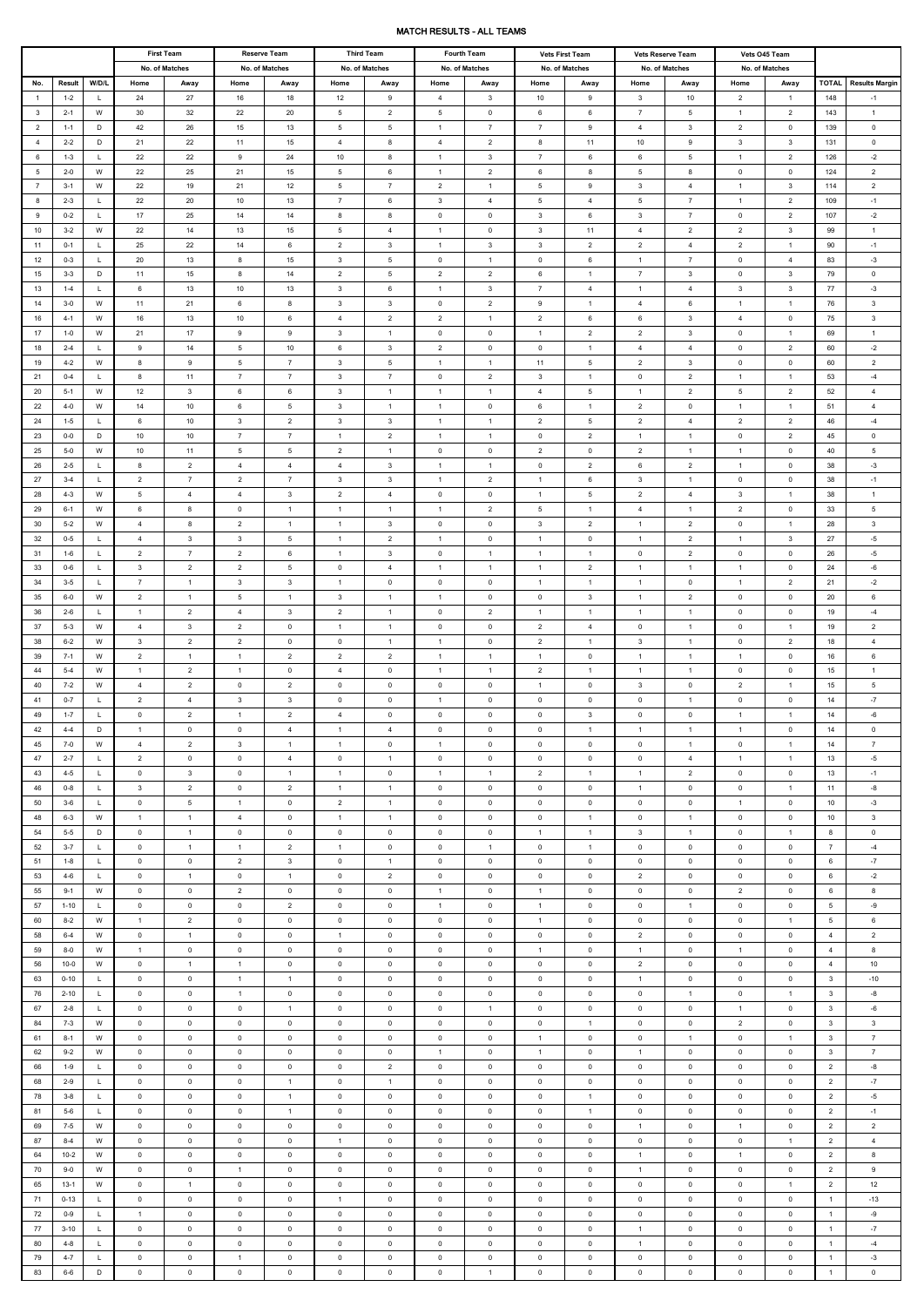## MATCH RESULTS - ALL TEAMS

|                                  |                     | <b>First Team</b>            |                                  | <b>Reserve Team</b>              |                                  | <b>Third Team</b>                |                                  | <b>Fourth Team</b>               |                                  | <b>Vets First Team</b>           |                                  | <b>Vets Reserve Team</b>      |                                  | Vets 045 Team                    |                                |                                  |                                  |                               |
|----------------------------------|---------------------|------------------------------|----------------------------------|----------------------------------|----------------------------------|----------------------------------|----------------------------------|----------------------------------|----------------------------------|----------------------------------|----------------------------------|-------------------------------|----------------------------------|----------------------------------|--------------------------------|----------------------------------|----------------------------------|-------------------------------|
|                                  |                     | No. of Matches               |                                  |                                  | No. of Matches                   | No. of Matches                   |                                  | No. of Matches                   |                                  |                                  | No. of Matches                   | No. of Matches                |                                  | No. of Matches                   |                                |                                  |                                  |                               |
| No.                              | Result              | W/D/L                        | Home                             | Away                             | Home                             | Away                             | Home                             | Away                             | Home                             | Away                             | Home                             | Away                          | Home                             | Away                             | Home                           | Away                             | <b>TOTAL</b>                     | <b>Results Margin</b>         |
| $\overline{1}$                   | $1 - 2$             | L.                           | 24                               | 27                               | 16                               | 18                               | 12                               | 9                                | $\overline{4}$                   | $\mathbf{3}$                     | 10                               | 9                             | $\mathbf{3}$                     | 10                               | $\overline{2}$                 | $\overline{1}$                   | 148                              | $-1$                          |
| $\mathbf{3}$                     | $2 - 1$             | W                            | 30                               | 32                               | 22                               | 20                               | 5                                | $\overline{2}$                   | $5\phantom{.0}$                  | $\mathbf 0$                      | 6                                | 6                             | $\overline{7}$                   | 5                                | $\overline{1}$                 | $\overline{2}$                   | 143                              | $\mathbf{1}$                  |
| $\overline{2}$<br>$\overline{4}$ | $1 - 1$<br>$2 - 2$  | D<br>D                       | 42<br>21                         | 26<br>22                         | 15<br>11                         | 13<br>15                         | 5<br>$\overline{4}$              | 5<br>8                           | $\overline{1}$<br>$\overline{4}$ | $\overline{7}$<br>$\overline{2}$ | $\overline{7}$<br>8              | 9<br>11                       | $\overline{4}$<br>10             | $\mathbf{3}$<br>9                | $\overline{2}$<br>$\mathbf{3}$ | $\mathbf 0$<br>$\mathbf{3}$      | 139<br>131                       | $\mathbf 0$<br>$\mathsf 0$    |
| 6                                | $1 - 3$             | L.                           | 22                               | 22                               | 9                                | 24                               | 10                               | 8                                | $\overline{1}$                   | $\mathbf{3}$                     | $\overline{7}$                   | 6                             | 6                                | 5                                | $\overline{1}$                 | $\overline{2}$                   | 126                              | $-2$                          |
| 5                                | $2 - 0$             | W                            | 22                               | 25                               | 21                               | 15                               | 5                                | 6                                | $\overline{1}$                   | $\overline{2}$                   | 6                                | 8                             | $5\phantom{.0}$                  | 8                                | $\mathbf 0$                    | $\mathbf 0$                      | 124                              | $\overline{2}$                |
| $\overline{7}$                   | $3 - 1$             | W                            | 22                               | 19                               | 21                               | 12                               | 5                                | $\overline{7}$                   | $\overline{2}$                   | $\mathbf{1}$                     | 5                                | 9                             | $\mathbf{3}$                     | $\overline{4}$                   | $\overline{1}$                 | $\mathbf{3}$                     | 114                              | $\overline{2}$                |
| 8                                | $2 - 3$             | L.                           | 22                               | 20                               | 10                               | 13                               | $\overline{7}$                   | 6                                | $\mathbf{3}$                     | 4                                | 5                                | $\overline{4}$                | $5\phantom{.0}$                  | $\overline{7}$                   | $\overline{1}$                 | $\overline{2}$                   | 109                              | $-1$                          |
| 9                                | $0 - 2$             | L                            | 17                               | 25                               | 14                               | 14                               | 8                                | 8                                | $\mathbf 0$                      | 0                                | $\mathbf{3}$                     | 6                             | $\mathbf{3}$                     | $\overline{7}$                   | $\overline{0}$                 | $\overline{2}$                   | 107                              | $-2$                          |
| 10                               | $3 - 2$             | W                            | 22                               | 14                               | 13                               | 15                               | $5\phantom{.0}$                  | $\overline{4}$                   | $\overline{1}$                   | $\mathbf 0$                      | $\mathbf{3}$                     | 11                            | $\overline{4}$                   | $\overline{2}$                   | $\overline{2}$                 | $\mathbf{3}$                     | 99                               | $\overline{1}$                |
| 11                               | $0 - 1$             | L.                           | 25                               | 22                               | 14                               | 6                                | $\overline{2}$                   | $\mathbf{3}$                     | $\overline{1}$                   | 3                                | $\mathbf{3}$                     | $\overline{2}$                | $\overline{2}$                   | $\overline{4}$                   | $\overline{2}$                 | $\overline{1}$                   | 90                               | $-1$                          |
| 12                               | $0 - 3$             | L.                           | 20                               | 13                               | 8                                | 15                               | $\mathbf{3}$                     | $5\phantom{.0}$                  | $\mathbf 0$                      | $\mathbf{1}$                     | $\mathbf 0$                      | 6                             | $\mathbf{1}$                     | $\overline{7}$                   | $\mathsf 0$                    | $\overline{4}$                   | 83                               | $-3$                          |
| 15                               | $3 - 3$             | D                            | 11                               | 15                               | 8                                | 14                               | $\overline{2}$                   | 5                                | $\overline{2}$                   | $\overline{2}$                   | 6                                | $\mathbf{1}$                  | $\overline{7}$                   | $\mathbf{3}$                     | $\mathbf 0$                    | $\mathbf{3}$                     | 79                               | $\mathsf 0$                   |
| 13                               | $1 - 4$             | L                            | 6                                | 13                               | 10                               | 13                               | $\mathbf{3}$                     | 6                                | $\mathbf{1}$                     | $\mathbf{3}$                     | $\overline{7}$                   | $\overline{4}$                | $\overline{1}$                   | $\overline{4}$                   | $\mathbf{3}$                   | $\mathbf{3}$                     | 77                               | $-3$                          |
| 14                               | $3 - 0$             | W                            | 11                               | 21                               | 6                                | 8                                | $\mathbf{3}$                     | $\mathbf{3}$                     | $\mathbf 0$                      | $\overline{2}$                   | 9                                | $\overline{1}$                | $\overline{4}$                   | 6                                | $\overline{1}$                 | $\overline{1}$                   | 76                               | $\mathbf{3}$                  |
| 16                               | $4 - 1$             | W                            | 16                               | 13                               | 10                               | 6                                | $\overline{4}$                   | $\overline{2}$                   | $\overline{2}$                   | $\mathbf{1}$                     | $\overline{2}$                   | 6                             | 6                                | 3                                | $\overline{4}$                 | $\mathsf{O}$                     | 75                               | $\mathbf{3}$                  |
| 17                               | $1-0$               | W                            | 21                               | 17                               | 9                                | 9                                | $\mathbf{3}$                     | $\overline{1}$                   | $\mathbf 0$                      | $\mathbf 0$                      | $\mathbf{1}$                     | $\overline{2}$                | $\overline{2}$                   | $\mathbf{3}$                     | $\mathbf 0$                    | $\overline{1}$                   | 69                               | $\overline{1}$                |
| 18                               | $2 - 4$             | L.                           | 9                                | 14                               | 5                                | 10                               | 6                                | $\mathbf{3}$                     | $\overline{2}$                   | $\mathbf 0$                      | $\mathbf 0$                      | $\mathbf{1}$                  | $\overline{4}$                   | $\overline{4}$                   | $\mathbf 0$                    | $\overline{2}$                   | 60                               | $-2$                          |
| 19                               | $4 - 2$             | W                            | 8                                | 9                                | 5                                | $7\overline{ }$                  | $\mathbf{3}$                     | 5                                | $\overline{1}$                   | $\mathbf{1}$                     | 11                               | $5\overline{5}$               | $\overline{2}$                   | $\mathbf{3}$                     | $\mathbf 0$                    | $\mathbf 0$                      | 60                               | $\overline{2}$                |
| 21                               | $0 - 4$             | L.                           | 8                                | 11                               | $\overline{7}$                   | $\overline{7}$                   | 3                                | $\overline{7}$                   | $\mathbf 0$                      | $\overline{2}$                   | $\mathbf{3}$                     | $\mathbf{1}$                  | $\mathbf 0$                      | $\overline{2}$                   | $\overline{1}$                 | $\overline{1}$                   | 53                               | $-4$                          |
| 20                               | $5 - 1$             | W                            | 12                               | $\mathbf{3}$                     | 6                                | 6                                | $\mathbf{3}$                     | $\overline{1}$                   | $\overline{1}$                   | $\mathbf{1}$                     | $\overline{4}$                   | 5                             | $\overline{1}$                   | $\overline{2}$                   | 5                              | $\overline{2}$                   | 52                               | $\overline{4}$                |
| 22                               | $4 - 0$             | W                            | 14                               | 10                               | 6                                | 5                                | $\mathbf{3}$                     | $\mathbf{1}$                     | $\overline{1}$                   | $\mathbf 0$                      | 6                                | $\mathbf{1}$                  | $\overline{2}$                   | 0                                | $\overline{1}$                 | $\overline{1}$                   | 51                               | $\overline{4}$                |
| 24                               | $1 - 5$             | L                            | 6                                | 10                               | 3                                | $\overline{2}$                   | $\mathbf{3}$                     | $\mathbf{3}$                     | $\overline{1}$                   | $\mathbf{1}$                     | $\overline{2}$                   | $5\phantom{.0}$               | $\overline{2}$                   | $\overline{4}$                   | $\overline{2}$                 | $\overline{2}$                   | 46                               | $-4$                          |
| 23<br>25                         | $0-0$               | D<br>W                       | 10                               | 10<br>11                         | $\overline{7}$<br>5              | $\overline{7}$<br>5              | $\mathbf{1}$<br>$\overline{2}$   | $\overline{2}$<br>$\overline{1}$ | $\overline{1}$                   | $\mathbf{1}$                     | $\mathbf 0$<br>$\overline{2}$    | $\overline{2}$<br>$\mathbf 0$ | $\mathbf{1}$<br>$\overline{2}$   | $\mathbf{1}$<br>$\overline{1}$   | $\mathbf 0$<br>$\overline{1}$  | $\overline{2}$<br>$\mathbf 0$    | 45                               | $\mathsf 0$<br>$\overline{5}$ |
| 26                               | $5 - 0$<br>$2 - 5$  | L.                           | 10<br>8                          | $\overline{2}$                   | $\overline{4}$                   | $\overline{4}$                   | $\overline{4}$                   | $\mathbf{3}$                     | $\mathbf 0$<br>$\overline{1}$    | 0<br>$\mathbf{1}$                | $\mathbf 0$                      | $\overline{2}$                | 6                                | $\overline{2}$                   | $\overline{1}$                 | $\mathbf 0$                      | 40<br>38                         | $-3$                          |
| 27                               | $3 - 4$             | L.                           | $\overline{2}$                   | $\overline{7}$                   | $\overline{2}$                   | $\overline{7}$                   | $\mathbf{3}$                     | $\mathbf{3}$                     | $\overline{1}$                   | $\overline{2}$                   | $\mathbf{1}$                     | 6                             | $\mathbf{3}$                     | $\mathbf{1}$                     | $\mathbf 0$                    | $\mathsf{O}$                     | 38                               | $-1$                          |
| 28                               | $4 - 3$             | W                            | 5                                | $\overline{4}$                   | $\overline{4}$                   | 3                                | $\overline{2}$                   | $\overline{4}$                   | $\mathbf 0$                      | $\mathbf 0$                      | $\mathbf{1}$                     | 5                             | 2                                | $\overline{4}$                   | $\mathbf{3}$                   | $\overline{1}$                   | 38                               | $\overline{1}$                |
| 29                               | $6 - 1$             | W                            | 6                                | 8                                | $\mathbf 0$                      | $\mathbf{1}$                     | $\mathbf{1}$                     | $\overline{1}$                   | $\overline{1}$                   | $\overline{2}$                   | $5\phantom{.0}$                  | $\overline{1}$                | $\overline{4}$                   | $\mathbf{1}$                     | $\overline{2}$                 | $\mathsf{O}$                     | 33                               | $5\phantom{.0}$               |
| 30                               | $5 - 2$             | W                            | $\overline{4}$                   | 8                                | $\overline{2}$                   | $\mathbf{1}$                     | $\mathbf{1}$                     | 3                                | $\mathbf 0$                      | $\mathbf 0$                      | $\mathbf{3}$                     | $\overline{2}$                | $\mathbf{1}$                     | $\overline{2}$                   | $\mathbf 0$                    | $\overline{1}$                   | 28                               | $\mathbf{3}$                  |
| 32                               | $0 - 5$             | $\mathsf{L}$                 | $\overline{4}$                   | $\mathbf{3}$                     | 3                                | 5                                | $\overline{1}$                   | $\overline{2}$                   | $\overline{1}$                   | $\mathbf{0}$                     | $\overline{1}$                   | $\mathbf 0$                   | $\overline{1}$                   | $\overline{2}$                   | $\overline{1}$                 | $\mathbf{3}$                     | 27                               | $-5$                          |
| 31                               | $1 - 6$             | $\mathsf{L}$                 | $\overline{2}$                   | $\overline{7}$                   | 2                                | 6                                | $\overline{1}$                   | $\mathbf{3}$                     | $\mathbf{0}$                     | $\mathbf{1}$                     | $\overline{1}$                   | $\overline{1}$                | $\mathbf 0$                      | $\overline{2}$                   | $\mathbf{0}$                   | $\overline{0}$                   | 26                               | $-5$                          |
| 33                               | $0 - 6$             | $\mathsf{L}$                 | $\mathbf{3}$                     | $\overline{2}$                   | $\overline{2}$                   | $5\overline{5}$                  | $\mathbf{0}$                     | $\overline{4}$                   | $\overline{1}$                   | $\overline{1}$                   | $\overline{1}$                   | $\overline{2}$                | $\overline{1}$                   | $\sim$ 1                         | $\overline{1}$                 | $\mathbf{0}$                     | 24                               | -6                            |
| 34                               | $3 - 5$             | $\mathsf{L}$                 | $\overline{7}$                   | $\overline{1}$                   | $\mathbf{3}$                     | $\mathbf{3}$                     | $\overline{1}$                   | $\mathbf 0$                      | $\mathbf{0}$                     | $\overline{0}$                   | $\overline{1}$                   | $\overline{1}$                | $\overline{1}$                   | $\mathbf{0}$                     | $\overline{1}$                 | $\overline{2}$                   | 21                               | $-2$                          |
| 35                               | $6-0$               | W                            | $\overline{2}$                   | $\overline{1}$                   | $5\overline{5}$                  | $\overline{1}$                   | $\mathbf{3}$                     | $\overline{1}$                   | $\mathbf{1}$                     | $\mathbf{0}$                     | $\overline{0}$                   | $\mathbf{3}$                  | $\overline{1}$                   | $\overline{2}$                   | $\mathbf 0$                    | $\mathbf 0$                      | 20                               | 6                             |
| 36                               | $2 - 6$             | $\mathsf{L}$                 | $\overline{1}$                   | $\overline{2}$                   | $\overline{4}$                   | 3 <sup>3</sup>                   | $\overline{2}$                   | $\overline{1}$                   | $\mathbf{0}$                     | $\overline{2}$                   | $\overline{1}$                   | $\overline{1}$                | $\overline{1}$                   | $\overline{1}$                   | $\overline{0}$                 | $\mathbf 0$                      | 19                               | $-4$                          |
| 37                               | $5 - 3$             | W                            | $\overline{4}$                   | $\mathbf{3}$                     | $\overline{2}$                   | $\overline{0}$                   | $\overline{1}$                   | $\overline{1}$                   | $\mathbf{0}$                     | $\mathbf{0}$                     | $\overline{2}$                   | $\overline{4}$                | $\overline{0}$                   | $\sim$ 1                         | $\mathbf 0$                    | $\overline{1}$                   | 19                               | $\overline{2}$                |
| 38                               | $6 - 2$             | W                            | $\mathbf{3}$                     | $\overline{2}$                   | $\overline{2}$                   | $\mathbf 0$                      | $\mathbf 0$                      | $\overline{1}$                   | $\overline{1}$                   | $\mathbf{0}$                     | $\overline{2}$                   | $\overline{1}$                | $\mathbf{3}$                     | $\sim$ 1                         | $\mathbf 0$                    | $\overline{2}$                   | 18                               | $\overline{4}$                |
| 39                               | $7 - 1$             | W                            | $\overline{2}$                   | $\overline{1}$                   | $\overline{1}$                   | $\overline{2}$                   | 2                                | $\overline{2}$                   | $\overline{1}$                   | $\overline{1}$                   | $\overline{1}$                   | $\mathbf 0$                   | $\overline{1}$                   | $\overline{1}$                   | $\overline{1}$                 | $\mathsf{O}$                     | 16                               | 6                             |
| 44                               | $5 - 4$             | W                            | $\overline{1}$                   | 2                                | $\overline{1}$                   | $\overline{0}$                   | $\overline{4}$                   | $\mathbf 0$                      | $\overline{1}$                   | $\mathbf{1}$                     | $\overline{2}$                   | $\overline{1}$                | $\overline{1}$                   | $\overline{1}$                   | $\mathbf{0}$                   | $\mathbf 0$                      | 15                               | $\overline{1}$                |
| 40                               | $7 - 2$             | W                            | $\overline{4}$                   | $\overline{2}$                   | $\overline{0}$                   | $\overline{2}$                   | $\overline{0}$                   | $\mathbf 0$                      | $\overline{0}$                   | $\mathbf 0$                      | $\mathbf{1}$                     | $\mathbf 0$                   | $\mathbf{3}$                     | $\overline{0}$                   | $\overline{2}$                 | $\overline{1}$                   | 15                               | 5                             |
| 41<br>49                         | $0 - 7$<br>$1 - 7$  | $\mathsf{L}$<br>$\mathsf{L}$ | $\overline{2}$                   | $\overline{4}$<br>$\overline{2}$ | $\mathbf{3}$<br>$\overline{1}$   | $\mathbf{3}$<br>$\overline{2}$   | $\overline{0}$<br>$\overline{4}$ | $\mathbf 0$<br>$\mathbf 0$       | $\overline{1}$<br>$\mathbf 0$    | $\mathbf{0}$                     | $\mathbf{0}$                     | $\mathbf 0$<br>$\mathbf{3}$   | $\overline{0}$<br>$\mathbf{0}$   | $\overline{1}$<br>$\mathbf 0$    | $\mathbf 0$<br>$\overline{1}$  | $\overline{0}$<br>$\overline{1}$ | 14<br>14                         | $-7$<br>$-6$                  |
| 42                               | $4 - 4$             | D                            | $\overline{0}$<br>$\overline{1}$ | $\mathbf 0$                      | $\mathbf{0}$                     | $\overline{4}$                   | $\overline{1}$                   | $\overline{4}$                   | $\mathbf{0}$                     | $\overline{0}$<br>$\mathbf{0}$   | $\overline{0}$<br>$\overline{0}$ | $\overline{1}$                | $\overline{1}$                   | $\sim$ 1                         | $\overline{1}$                 | $\mathbf{0}$                     | 14                               | $\mathbf 0$                   |
| 45                               | $7 - 0$             | W                            | $\overline{4}$                   | $\overline{2}$                   | 3 <sup>1</sup>                   | $\overline{1}$                   | $\overline{1}$                   | $\mathbf 0$                      | $\overline{1}$                   | $\overline{0}$                   | $\overline{0}$                   | $\overline{0}$                | $\mathbf{0}$                     | $\overline{1}$                   | $\mathbf{0}$                   | $\overline{1}$                   | 14                               | $\overline{7}$                |
| 47                               | $2 - 7$             | $\mathsf{L}$                 | $\overline{2}$                   | $\mathbf 0$                      | $\overline{0}$                   | $\overline{4}$                   | $\mathbf 0$                      | $\overline{1}$                   | $\mathbf{0}$                     | $\mathbf{0}$                     | $\mathbf{0}$                     | $\mathbf 0$                   | $\overline{0}$                   | $\overline{4}$                   | $\overline{1}$                 | $\overline{1}$                   | 13                               | $-5$                          |
| 43                               | $4 - 5$             | $\mathsf{L}$                 | $\mathbf 0$                      | $\mathbf{3}$                     | $\overline{0}$                   | $\overline{1}$                   | $\overline{1}$                   | $\mathbf 0$                      | $\overline{1}$                   | $\overline{1}$                   | $\overline{2}$                   | $\overline{1}$                | $\overline{1}$                   | $\overline{2}$                   | $\mathbf 0$                    | $\mathbf 0$                      | 13                               | $-1$                          |
| 46                               | $0 - 8$             | $\mathsf{L}$                 | $\mathbf{3}$                     | $\overline{2}$                   | $\mathbf{0}$                     | $\overline{2}$                   | $\overline{1}$                   | $\overline{1}$                   | $\mathbf{0}$                     | $\mathbf{0}$                     | $\overline{0}$                   | $\mathbf 0$                   | $\overline{1}$                   | $\overline{0}$                   | $\mathbf 0$                    | $\overline{1}$                   | 11                               | -8                            |
| 50                               | $3 - 6$             | $\mathsf{L}$                 | $\mathbf 0$                      | 5                                | $\overline{1}$                   | $\overline{0}$                   | $\overline{2}$                   | $\overline{1}$                   | $\mathbf{0}$                     | $\mathbf{0}$                     | $\overline{0}$                   | $\mathbf 0$                   | $\mathbf{0}$                     | $\overline{0}$                   | $\overline{1}$                 | $\mathbf 0$                      | 10                               | $-3$                          |
| 48                               | $6 - 3$             | W                            | $\overline{1}$                   | $\overline{1}$                   | $\overline{4}$                   | $\mathbf{0}$                     | $\overline{1}$                   | $\overline{1}$                   | $\mathbf{0}$                     | $\mathbf{0}$                     | $\mathbf 0$                      | $\overline{1}$                | $\overline{0}$                   | $\mathbf{1}$                     | $\mathbf 0$                    | $\mathsf{O}$                     | 10                               | $\mathbf{3}$                  |
| 54                               | $5 - 5$             | D                            | $\mathbf 0$                      | $\overline{1}$                   | $\overline{0}$                   | $\overline{0}$                   | $\overline{0}$                   | $\mathbf 0$                      | $\mathbf{0}$                     | $\mathbf{0}$                     | $\overline{1}$                   | $\overline{1}$                | $\mathbf{3}$                     | $\overline{1}$                   | $\mathbf 0$                    | $\overline{1}$                   | 8                                | $\mathbf 0$                   |
| 52                               | $3 - 7$             | $\mathsf{L}$                 | $\overline{0}$                   | $\overline{1}$                   | $\overline{1}$                   | $\overline{2}$                   | $\overline{1}$                   | $\mathbf 0$                      | $\mathbf{0}$                     | $\mathbf{1}$                     | $\overline{0}$                   | $\overline{1}$                | $\mathbf 0$                      | $\mathbf{0}$                     | $\mathbf 0$                    | $\mathbf 0$                      | $7\overline{ }$                  | $-4$                          |
| 51                               | $1 - 8$             | $\mathsf{L}$                 | $\mathbf 0$                      | $\overline{0}$                   | $\overline{2}$                   | 3 <sup>3</sup>                   | $\mathbf{0}$                     | $\overline{1}$                   | $\mathbf{0}$                     | $\mathbf{0}$                     | $\overline{0}$                   | $\mathbf 0$                   | $\overline{0}$                   | $\overline{0}$                   | $\mathbf{0}$                   | $\mathbf 0$                      | 6                                | $-7$                          |
| 53                               | $4 - 6$             | $\mathsf{L}$                 | $\mathbf 0$                      | $\overline{1}$                   | $\overline{0}$                   | $\overline{1}$                   | $\overline{0}$                   | $\overline{2}$                   | $\mathbf{0}$                     | $\overline{0}$                   | $\overline{0}$                   | $\mathbf 0$                   | 2                                | $\mathbf{0}$                     | $\mathbf 0$                    | $\mathbf 0$                      | 6                                | $-2$                          |
| 55                               | $9 - 1$             | W                            | $\mathbf 0$                      | $\overline{0}$                   | 2                                | $\overline{0}$                   | $\mathbf{0}$                     | $\overline{0}$                   | $\overline{1}$                   | $\mathbf{0}$                     | $\overline{1}$                   | $\mathbf 0$                   | $\overline{0}$                   | $\overline{0}$                   | 2                              | $\mathbf 0$                      | 6                                | 8                             |
| 57                               | $1 - 10$            | $\mathsf{L}$                 | $\overline{0}$                   | $\mathbf{0}$                     | $\overline{0}$                   | $\overline{2}$                   | $\mathbf 0$                      | $\mathbf 0$                      | $\overline{1}$                   | $\mathbf{0}$                     | $\overline{1}$                   | $\overline{0}$                | $\mathbf{0}$                     | $\mathbf{1}$                     | $\mathbf 0$                    | $\mathbf 0$                      | $5\overline{5}$                  | -9                            |
| 60<br>58                         | $8 - 2$<br>$6 - 4$  | W<br>W                       | $\overline{1}$                   | $\overline{2}$<br>$\overline{1}$ | $\mathbf 0$<br>$\overline{0}$    | $\mathbf{0}$<br>$\mathbf{0}$     | $\overline{0}$<br>$\overline{1}$ | $\mathbf 0$<br>$\mathbf 0$       | $\mathbf{0}$<br>$\mathbf{0}$     | $\mathbf{0}$<br>$\mathbf{0}$     | $\overline{1}$                   | $\mathbf{0}$                  | $\mathbf{0}$<br>$\overline{2}$   | $\mathbf{0}$<br>$\mathbf{0}$     | $\mathbf{0}$<br>$\mathbf{0}$   | $\overline{1}$<br>$\mathbf 0$    | 5 <sup>5</sup><br>$\overline{4}$ | 6<br>$\overline{2}$           |
| 59                               | 8-0                 | W                            | $\overline{0}$<br>$\overline{1}$ | $\mathbf 0$                      | $\overline{0}$                   | $\mathbf{0}$                     | $\mathbf{0}$                     | $\mathbf 0$                      | $\mathbf{0}$                     | $\mathbf{0}$                     | $\overline{0}$<br>$\overline{1}$ | $\overline{0}$<br>$\mathbf 0$ | $\overline{1}$                   | $\mathbf{0}$                     | $\overline{1}$                 | $\mathbf 0$                      | $\overline{4}$                   | 8                             |
| 56                               | 10-0                | W                            | $\mathbf 0$                      | $\overline{1}$                   | $\overline{1}$                   | $\mathbf{0}$                     | $\mathbf{0}$                     | $\mathbf 0$                      | $\mathbf 0$                      | $\mathbf{0}$                     | $\overline{0}$                   | $\mathbf 0$                   | $\overline{2}$                   | $\mathbf{0}$                     | $\mathbf 0$                    | $\mathbf 0$                      | $\overline{4}$                   | 10                            |
| 63                               | $0 - 10$            | $\mathsf{L}$                 | $\mathbf 0$                      | $\mathbf 0$                      | $\overline{1}$                   | $\overline{1}$                   | $\mathbf 0$                      | $\mathbf 0$                      | $\mathbf 0$                      | $\mathbf{0}$                     | $\overline{0}$                   | $\mathbf 0$                   | $\overline{1}$                   | $\mathbf{0}$                     | $\mathbf 0$                    | $\mathbf 0$                      | $\mathbf{3}$                     | $-10$                         |
| 76                               | $2 - 10$            | $\mathsf{L}$                 | $\mathbf 0$                      | $\mathbf{0}$                     | $\overline{1}$                   | $\overline{0}$                   | $\mathbf 0$                      | $\mathbf 0$                      | $\overline{0}$                   | $\mathbf{0}$                     | $\overline{0}$                   | $\mathbf 0$                   | $\mathbf{0}$                     | $\overline{1}$                   | $\mathbf{0}$                   | $\overline{1}$                   | $\mathbf{3}$                     | -8                            |
| 67                               | $2 - 8$             | $\mathsf{L}$                 | $\mathbf 0$                      | $\mathbf 0$                      | $\overline{0}$                   | 1                                | $\mathbf{0}$                     | $\mathbf 0$                      | $\overline{0}$                   | 1                                | $\mathbf{0}$                     | $\mathbf 0$                   | $\overline{0}$                   | $\mathbf{0}$                     | $\mathbf{1}$                   | $\mathbf 0$                      | $\mathbf{3}$                     | $-6$                          |
| 84                               | $7 - 3$             | W                            | $\mathbf{0}$                     | $\mathbf 0$                      | $\mathbf 0$                      | $\mathbf 0$                      | $\mathsf{O}$                     | $\mathbf 0$                      | $\mathbf{0}$                     | $\mathbf 0$                      | $\mathbf 0$                      | $\mathbf{1}$                  | $\mathbf{0}$                     | $\mathbf 0$                      | $\overline{2}$                 | $\mathbf 0$                      | 3                                | $\mathbf{3}$                  |
| 61                               | $8 - 1$             | W                            | $\mathbf{0}$                     | $\mathsf{O}$                     | $\mathbf 0$                      | $\mathbf 0$                      | $\overline{0}$                   | $\mathbf 0$                      | $\overline{0}$                   | $\mathbf 0$                      | $\mathbf{1}$                     | $\mathbf 0$                   | $\overline{0}$                   | $\mathbf{1}$                     | $\mathbf{0}$                   | $\overline{1}$                   | 3 <sup>1</sup>                   | $\overline{7}$                |
| 62                               | $9 - 2$             | W                            | $\overline{0}$                   | $\mathbf{0}$                     | $\overline{0}$                   | $\overline{0}$                   | $\overline{0}$                   | $\overline{0}$                   | $\overline{1}$                   | $\overline{0}$                   | $\overline{1}$                   | $\overline{0}$                | $\overline{1}$                   | $\overline{0}$                   | $\overline{0}$                 | $\mathbf 0$                      | 3 <sup>3</sup>                   | $\overline{7}$                |
| 66                               | $1 - 9$             | $\mathsf{L}$                 | $\overline{0}$                   | $\mathbf{0}$                     | $\overline{0}$                   | $\overline{0}$                   | $\overline{0}$                   | $\overline{2}$                   | $\overline{0}$                   | $\overline{0}$                   | $\overline{0}$                   | $\overline{0}$                | $\overline{0}$                   | $\overline{0}$                   | $\overline{0}$                 | $\mathbf 0$                      | $\overline{2}$                   | -8                            |
| 68                               | $2 - 9$             | $\mathsf{L}$                 | $\mathbf 0$                      | $\mathbf 0$                      | $\overline{0}$                   | $\overline{1}$                   | $\mathbf{0}$                     | $\overline{1}$                   | $\mathbf{0}$                     | $\overline{0}$                   | $\mathbf{0}$                     | $\mathbf 0$                   | $\mathbf 0$                      | $\overline{0}$                   | $\overline{0}$                 | $\mathbf 0$                      | $\overline{2}$                   | $-7$                          |
| 78                               | $3 - 8$             | $\mathsf{L}$                 | $\overline{0}$                   | $\mathbf{0}$                     | $\overline{0}$                   | $\overline{1}$                   | $\overline{0}$                   | $\overline{0}$                   | $\overline{0}$                   | $\overline{0}$                   | $\overline{0}$                   | $\overline{1}$                | $\overline{0}$                   | $\overline{0}$                   | $\overline{0}$                 | $\overline{0}$                   | $\overline{2}$                   | $-5$                          |
| 81                               | $5 - 6$             | $\mathsf{L}$                 | $\overline{0}$                   | $\mathbf{0}$                     | $\overline{0}$                   | $\overline{1}$                   | $\overline{0}$                   | $\overline{0}$                   | $\mathbf{0}$                     | $\mathbf{0}$                     | $\overline{0}$                   | $\overline{1}$                | $\mathbf{0}$                     | $\mathbf{0}$                     | $\overline{0}$                 | $\overline{0}$                   | $\overline{2}$                   | $-1$                          |
| 69                               | $7 - 5$             | W                            | $\overline{0}$                   | $\mathbf 0$                      | $\overline{0}$                   | $\overline{0}$                   | $\overline{0}$                   | $\overline{0}$                   | $\overline{0}$                   | $\overline{0}$                   | $\overline{0}$                   | $\mathbf{0}$                  | $\overline{1}$                   | $\overline{0}$                   | $\overline{1}$                 | $\overline{0}$                   | $\overline{2}$                   | $\overline{2}$                |
| 87<br>64                         | $8 - 4$             | W<br>W                       | $\mathbf{0}$                     | $\mathsf{o}$<br>$\mathbf{0}$     | $\overline{0}$<br>$\overline{0}$ | $\overline{0}$<br>$\overline{0}$ | $\mathbf{1}$<br>$\overline{0}$   | $\mathbf 0$<br>$\overline{0}$    | $\overline{0}$<br>$\overline{0}$ | $\mathbf 0$                      | $\mathbf{0}$<br>$\overline{0}$   | $\mathbf 0$<br>$\mathbf{0}$   | $\overline{0}$<br>$\overline{1}$ | $\overline{0}$<br>$\overline{0}$ | $\mathbf 0$<br>$\overline{1}$  | $\overline{1}$<br>$\mathbf 0$    | $\overline{2}$                   | $\overline{4}$<br>8           |
| 70                               | $10 - 2$<br>$9 - 0$ | W                            | $\overline{0}$<br>$\overline{0}$ | $\mathbf{0}$                     | $\overline{1}$                   | $\overline{0}$                   | $\overline{0}$                   | $\overline{0}$                   | $\mathbf{0}$                     | $\mathbf{0}$<br>$\mathbf 0$      | $\overline{0}$                   | $\mathbf{0}$                  | $\overline{1}$                   | $\overline{0}$                   | $\overline{0}$                 | $\overline{0}$                   | $2^{\circ}$<br>$\overline{2}$    | 9                             |
| 65                               | $13 - 1$            | W                            | $\overline{0}$                   | $\overline{1}$                   | $\overline{0}$                   | $\overline{0}$                   | $\overline{0}$                   | $\mathbf 0$                      | $\overline{0}$                   | $\overline{0}$                   | $\overline{0}$                   | $\mathbf 0$                   | $\overline{0}$                   | $\overline{0}$                   | $\mathbf{0}$                   | $\overline{1}$                   | 2                                | 12                            |
| 71                               | $0 - 13$            | $\mathsf{L}$                 | $\mathbf 0$                      | $\overline{0}$                   | $\overline{0}$                   | $\overline{0}$                   | $\overline{1}$                   | $\mathsf{o}$                     | $\overline{0}$                   | $\overline{0}$                   | $\overline{0}$                   | $\mathbf 0$                   | $\overline{0}$                   | $\overline{0}$                   | $\overline{0}$                 | $\mathbf 0$                      | $\overline{1}$                   | $-13$                         |
| 72                               | $0 - 9$             | $\mathsf{L}$                 | $\overline{1}$                   | $\mathbf 0$                      | $\overline{0}$                   | $\overline{0}$                   | $\mathbf{0}$                     | $\mathbf 0$                      | $\overline{0}$                   | $\overline{0}$                   | $\overline{0}$                   | $\mathbf 0$                   | $\overline{0}$                   | $\overline{0}$                   | $\overline{0}$                 | $\mathbf 0$                      | $\overline{1}$                   | -9                            |
| 77                               | $3 - 10$            | $\mathsf{L}$                 | $\overline{0}$                   | $\mathbf 0$                      | $\overline{0}$                   | $\overline{0}$                   | $\overline{0}$                   | $\overline{0}$                   | $\overline{0}$                   | $\overline{0}$                   | $\overline{0}$                   | $\overline{0}$                | $\overline{1}$                   | $\overline{0}$                   | $\overline{0}$                 | $\overline{0}$                   | $\overline{1}$                   | $-7$                          |
| 80                               | $4 - 8$             | $\mathsf{L}$                 | $\overline{0}$                   | $\mathbf 0$                      | $\overline{0}$                   | $\overline{0}$                   | $\overline{0}$                   | $\mathbf 0$                      | $\overline{0}$                   | $\overline{0}$                   | $\overline{0}$                   | $\mathbf{0}$                  | $\overline{1}$                   | $\overline{0}$                   | $\overline{0}$                 | $\overline{0}$                   | $\overline{1}$                   | $-4$                          |
| 79                               | $4 - 7$             | $\mathsf{L}$                 | $\mathbf{0}$                     | $\mathbf{0}$                     | $\overline{1}$                   | $\overline{0}$                   | $\overline{0}$                   | $\mathbf 0$                      | $\overline{0}$                   | $\overline{0}$                   | $\overline{0}$                   | $\mathbf{0}$                  | $\overline{0}$                   | $\overline{0}$                   | $\mathbf{0}$                   | $\overline{0}$                   | $\overline{1}$                   | $-3$                          |
| 83                               | $6-6$               | D                            | $\mathbf 0$                      | $\mathbf 0$                      | $\overline{0}$                   | $\mathbf 0$                      | $\mathbf 0$                      | $\mathbf 0$                      | $\overline{0}$                   | $\mathbf{1}$                     | $\mathbf 0$                      | $\mathbf 0$                   | $\overline{0}$                   | $\overline{0}$                   | $\mathbf 0$                    | $\overline{0}$                   | $\overline{1}$                   | $\mathbf 0$                   |